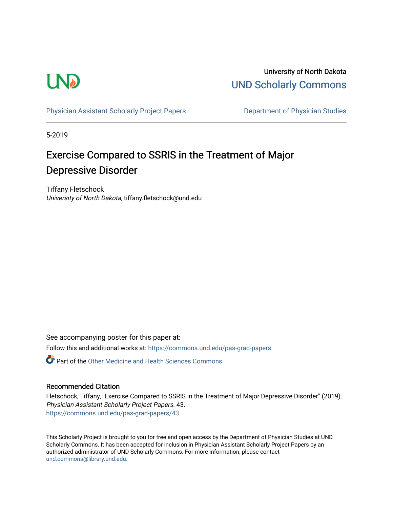

University of North Dakota [UND Scholarly Commons](https://commons.und.edu/) 

[Physician Assistant Scholarly Project Papers](https://commons.und.edu/pas-grad-papers) **Department of Physician Studies** 

5-2019

# Exercise Compared to SSRIS in the Treatment of Major Depressive Disorder

Tiffany Fletschock University of North Dakota, tiffany.fletschock@und.edu

See accompanying poster for this paper at: Follow this and additional works at: [https://commons.und.edu/pas-grad-papers](https://commons.und.edu/pas-grad-papers?utm_source=commons.und.edu%2Fpas-grad-papers%2F43&utm_medium=PDF&utm_campaign=PDFCoverPages) 

**C** Part of the [Other Medicine and Health Sciences Commons](http://network.bepress.com/hgg/discipline/772?utm_source=commons.und.edu%2Fpas-grad-papers%2F43&utm_medium=PDF&utm_campaign=PDFCoverPages)

### Recommended Citation

Fletschock, Tiffany, "Exercise Compared to SSRIS in the Treatment of Major Depressive Disorder" (2019). Physician Assistant Scholarly Project Papers. 43. [https://commons.und.edu/pas-grad-papers/43](https://commons.und.edu/pas-grad-papers/43?utm_source=commons.und.edu%2Fpas-grad-papers%2F43&utm_medium=PDF&utm_campaign=PDFCoverPages)

This Scholarly Project is brought to you for free and open access by the Department of Physician Studies at UND Scholarly Commons. It has been accepted for inclusion in Physician Assistant Scholarly Project Papers by an authorized administrator of UND Scholarly Commons. For more information, please contact [und.commons@library.und.edu](mailto:und.commons@library.und.edu).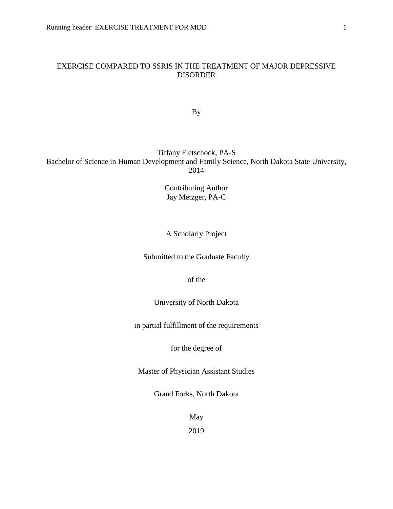## EXERCISE COMPARED TO SSRIS IN THE TREATMENT OF MAJOR DEPRESSIVE DISORDER

By

# Tiffany Fletschock, PA-S Bachelor of Science in Human Development and Family Science, North Dakota State University, 2014

Contributing Author Jay Metzger, PA-C

# A Scholarly Project

Submitted to the Graduate Faculty

of the

University of North Dakota

in partial fulfillment of the requirements

for the degree of

Master of Physician Assistant Studies

Grand Forks, North Dakota

May

2019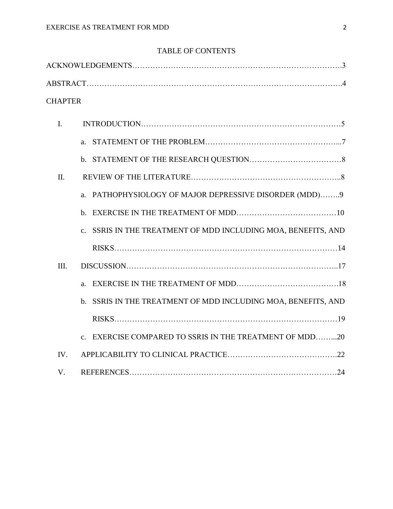# TABLE OF CONTENTS

| <b>CHAPTER</b> |                                                               |
|----------------|---------------------------------------------------------------|
| $\mathbf{I}$ . |                                                               |
|                |                                                               |
|                |                                                               |
| Π.             |                                                               |
|                | a. PATHOPHYSIOLOGY OF MAJOR DEPRESSIVE DISORDER (MDD)9        |
|                |                                                               |
|                | c. SSRIS IN THE TREATMENT OF MDD INCLUDING MOA, BENEFITS, AND |
|                |                                                               |
| III.           |                                                               |
|                |                                                               |
|                | b. SSRIS IN THE TREATMENT OF MDD INCLUDING MOA, BENEFITS, AND |
|                |                                                               |
|                | c. EXERCISE COMPARED TO SSRIS IN THE TREATMENT OF MDD20       |
| IV.            |                                                               |
| V.             |                                                               |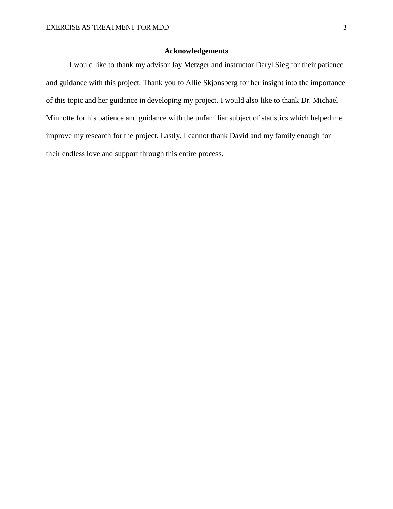# **Acknowledgements**

I would like to thank my advisor Jay Metzger and instructor Daryl Sieg for their patience and guidance with this project. Thank you to Allie Skjonsberg for her insight into the importance of this topic and her guidance in developing my project. I would also like to thank Dr. Michael Minnotte for his patience and guidance with the unfamiliar subject of statistics which helped me improve my research for the project. Lastly, I cannot thank David and my family enough for their endless love and support through this entire process.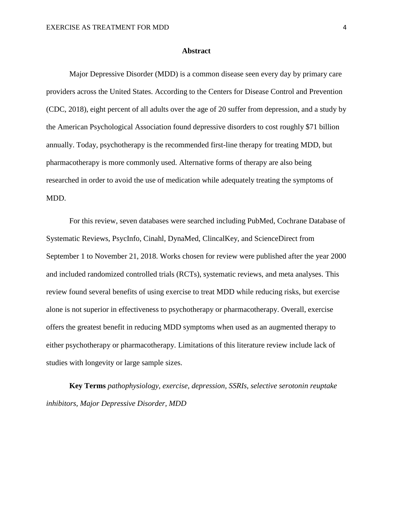#### **Abstract**

Major Depressive Disorder (MDD) is a common disease seen every day by primary care providers across the United States. According to the Centers for Disease Control and Prevention (CDC, 2018), eight percent of all adults over the age of 20 suffer from depression, and a study by the American Psychological Association found depressive disorders to cost roughly \$71 billion annually. Today, psychotherapy is the recommended first-line therapy for treating MDD, but pharmacotherapy is more commonly used. Alternative forms of therapy are also being researched in order to avoid the use of medication while adequately treating the symptoms of MDD.

For this review, seven databases were searched including PubMed, Cochrane Database of Systematic Reviews, PsycInfo, Cinahl, DynaMed, ClincalKey, and ScienceDirect from September 1 to November 21, 2018. Works chosen for review were published after the year 2000 and included randomized controlled trials (RCTs), systematic reviews, and meta analyses. This review found several benefits of using exercise to treat MDD while reducing risks, but exercise alone is not superior in effectiveness to psychotherapy or pharmacotherapy. Overall, exercise offers the greatest benefit in reducing MDD symptoms when used as an augmented therapy to either psychotherapy or pharmacotherapy. Limitations of this literature review include lack of studies with longevity or large sample sizes.

**Key Terms** *pathophysiology, exercise, depression, SSRIs, selective serotonin reuptake inhibitors, Major Depressive Disorder, MDD*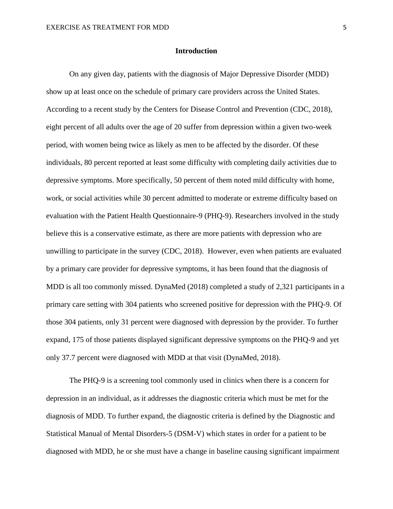#### **Introduction**

On any given day, patients with the diagnosis of Major Depressive Disorder (MDD) show up at least once on the schedule of primary care providers across the United States. According to a recent study by the Centers for Disease Control and Prevention (CDC, 2018), eight percent of all adults over the age of 20 suffer from depression within a given two-week period, with women being twice as likely as men to be affected by the disorder. Of these individuals, 80 percent reported at least some difficulty with completing daily activities due to depressive symptoms. More specifically, 50 percent of them noted mild difficulty with home, work, or social activities while 30 percent admitted to moderate or extreme difficulty based on evaluation with the Patient Health Questionnaire-9 (PHQ-9). Researchers involved in the study believe this is a conservative estimate, as there are more patients with depression who are unwilling to participate in the survey (CDC, 2018). However, even when patients are evaluated by a primary care provider for depressive symptoms, it has been found that the diagnosis of MDD is all too commonly missed. DynaMed (2018) completed a study of 2,321 participants in a primary care setting with 304 patients who screened positive for depression with the PHQ-9. Of those 304 patients, only 31 percent were diagnosed with depression by the provider. To further expand, 175 of those patients displayed significant depressive symptoms on the PHQ-9 and yet only 37.7 percent were diagnosed with MDD at that visit (DynaMed, 2018).

The PHQ-9 is a screening tool commonly used in clinics when there is a concern for depression in an individual, as it addresses the diagnostic criteria which must be met for the diagnosis of MDD. To further expand, the diagnostic criteria is defined by the Diagnostic and Statistical Manual of Mental Disorders-5 (DSM-V) which states in order for a patient to be diagnosed with MDD, he or she must have a change in baseline causing significant impairment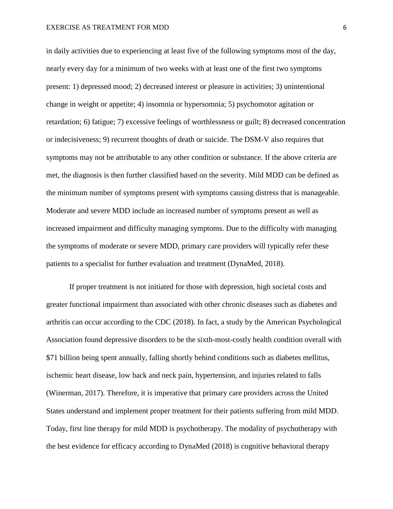in daily activities due to experiencing at least five of the following symptoms most of the day, nearly every day for a minimum of two weeks with at least one of the first two symptoms present: 1) depressed mood; 2) decreased interest or pleasure in activities; 3) unintentional change in weight or appetite; 4) insomnia or hypersomnia; 5) psychomotor agitation or retardation; 6) fatigue; 7) excessive feelings of worthlessness or guilt; 8) decreased concentration or indecisiveness; 9) recurrent thoughts of death or suicide. The DSM-V also requires that symptoms may not be attributable to any other condition or substance. If the above criteria are met, the diagnosis is then further classified based on the severity. Mild MDD can be defined as the minimum number of symptoms present with symptoms causing distress that is manageable. Moderate and severe MDD include an increased number of symptoms present as well as increased impairment and difficulty managing symptoms. Due to the difficulty with managing the symptoms of moderate or severe MDD, primary care providers will typically refer these patients to a specialist for further evaluation and treatment (DynaMed, 2018).

If proper treatment is not initiated for those with depression, high societal costs and greater functional impairment than associated with other chronic diseases such as diabetes and arthritis can occur according to the CDC (2018). In fact, a study by the American Psychological Association found depressive disorders to be the sixth-most-costly health condition overall with \$71 billion being spent annually, falling shortly behind conditions such as diabetes mellitus, ischemic heart disease, low back and neck pain, hypertension, and injuries related to falls (Winerman, 2017). Therefore, it is imperative that primary care providers across the United States understand and implement proper treatment for their patients suffering from mild MDD. Today, first line therapy for mild MDD is psychotherapy. The modality of psychotherapy with the best evidence for efficacy according to DynaMed (2018) is cognitive behavioral therapy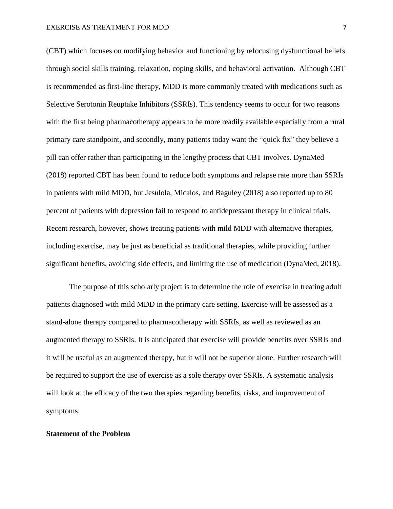(CBT) which focuses on modifying behavior and functioning by refocusing dysfunctional beliefs through social skills training, relaxation, coping skills, and behavioral activation. Although CBT is recommended as first-line therapy, MDD is more commonly treated with medications such as Selective Serotonin Reuptake Inhibitors (SSRIs). This tendency seems to occur for two reasons with the first being pharmacotherapy appears to be more readily available especially from a rural primary care standpoint, and secondly, many patients today want the "quick fix" they believe a pill can offer rather than participating in the lengthy process that CBT involves. DynaMed (2018) reported CBT has been found to reduce both symptoms and relapse rate more than SSRIs in patients with mild MDD, but Jesulola, Micalos, and Baguley (2018) also reported up to 80 percent of patients with depression fail to respond to antidepressant therapy in clinical trials. Recent research, however, shows treating patients with mild MDD with alternative therapies, including exercise, may be just as beneficial as traditional therapies, while providing further significant benefits, avoiding side effects, and limiting the use of medication (DynaMed, 2018).

The purpose of this scholarly project is to determine the role of exercise in treating adult patients diagnosed with mild MDD in the primary care setting. Exercise will be assessed as a stand-alone therapy compared to pharmacotherapy with SSRIs, as well as reviewed as an augmented therapy to SSRIs. It is anticipated that exercise will provide benefits over SSRIs and it will be useful as an augmented therapy, but it will not be superior alone. Further research will be required to support the use of exercise as a sole therapy over SSRIs. A systematic analysis will look at the efficacy of the two therapies regarding benefits, risks, and improvement of symptoms.

#### **Statement of the Problem**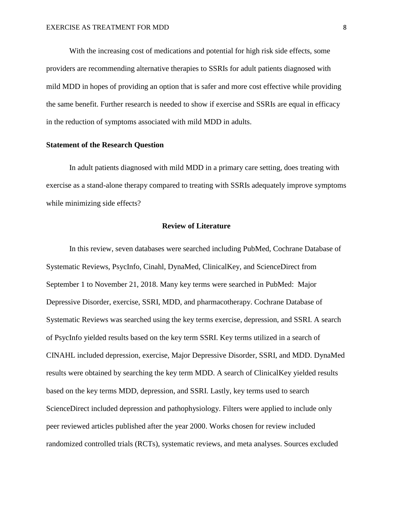With the increasing cost of medications and potential for high risk side effects, some providers are recommending alternative therapies to SSRIs for adult patients diagnosed with mild MDD in hopes of providing an option that is safer and more cost effective while providing the same benefit. Further research is needed to show if exercise and SSRIs are equal in efficacy in the reduction of symptoms associated with mild MDD in adults.

# **Statement of the Research Question**

In adult patients diagnosed with mild MDD in a primary care setting, does treating with exercise as a stand-alone therapy compared to treating with SSRIs adequately improve symptoms while minimizing side effects?

# **Review of Literature**

In this review, seven databases were searched including PubMed, Cochrane Database of Systematic Reviews, PsycInfo, Cinahl, DynaMed, ClinicalKey, and ScienceDirect from September 1 to November 21, 2018. Many key terms were searched in PubMed: Major Depressive Disorder, exercise, SSRI, MDD, and pharmacotherapy. Cochrane Database of Systematic Reviews was searched using the key terms exercise, depression, and SSRI. A search of PsycInfo yielded results based on the key term SSRI. Key terms utilized in a search of CINAHL included depression, exercise, Major Depressive Disorder, SSRI, and MDD. DynaMed results were obtained by searching the key term MDD. A search of ClinicalKey yielded results based on the key terms MDD, depression, and SSRI. Lastly, key terms used to search ScienceDirect included depression and pathophysiology. Filters were applied to include only peer reviewed articles published after the year 2000. Works chosen for review included randomized controlled trials (RCTs), systematic reviews, and meta analyses. Sources excluded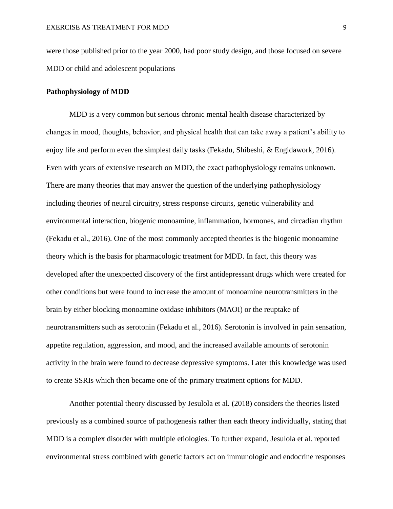were those published prior to the year 2000, had poor study design, and those focused on severe MDD or child and adolescent populations

#### **Pathophysiology of MDD**

MDD is a very common but serious chronic mental health disease characterized by changes in mood, thoughts, behavior, and physical health that can take away a patient's ability to enjoy life and perform even the simplest daily tasks (Fekadu, Shibeshi, & Engidawork, 2016). Even with years of extensive research on MDD, the exact pathophysiology remains unknown. There are many theories that may answer the question of the underlying pathophysiology including theories of neural circuitry, stress response circuits, genetic vulnerability and environmental interaction, biogenic monoamine, inflammation, hormones, and circadian rhythm (Fekadu et al., 2016). One of the most commonly accepted theories is the biogenic monoamine theory which is the basis for pharmacologic treatment for MDD. In fact, this theory was developed after the unexpected discovery of the first antidepressant drugs which were created for other conditions but were found to increase the amount of monoamine neurotransmitters in the brain by either blocking monoamine oxidase inhibitors (MAOI) or the reuptake of neurotransmitters such as serotonin (Fekadu et al., 2016). Serotonin is involved in pain sensation, appetite regulation, aggression, and mood, and the increased available amounts of serotonin activity in the brain were found to decrease depressive symptoms. Later this knowledge was used to create SSRIs which then became one of the primary treatment options for MDD.

Another potential theory discussed by Jesulola et al. (2018) considers the theories listed previously as a combined source of pathogenesis rather than each theory individually, stating that MDD is a complex disorder with multiple etiologies. To further expand, Jesulola et al. reported environmental stress combined with genetic factors act on immunologic and endocrine responses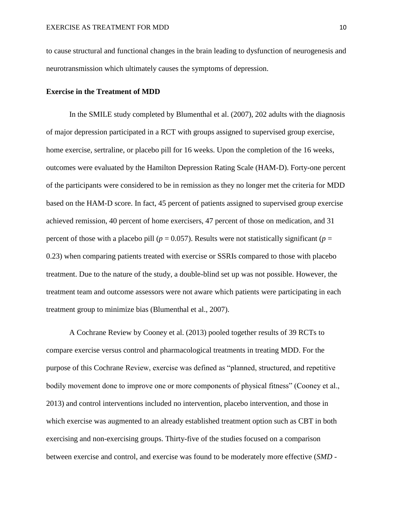to cause structural and functional changes in the brain leading to dysfunction of neurogenesis and neurotransmission which ultimately causes the symptoms of depression.

#### **Exercise in the Treatment of MDD**

In the SMILE study completed by Blumenthal et al. (2007), 202 adults with the diagnosis of major depression participated in a RCT with groups assigned to supervised group exercise, home exercise, sertraline, or placebo pill for 16 weeks. Upon the completion of the 16 weeks, outcomes were evaluated by the Hamilton Depression Rating Scale (HAM-D). Forty-one percent of the participants were considered to be in remission as they no longer met the criteria for MDD based on the HAM-D score. In fact, 45 percent of patients assigned to supervised group exercise achieved remission, 40 percent of home exercisers, 47 percent of those on medication, and 31 percent of those with a placebo pill ( $p = 0.057$ ). Results were not statistically significant ( $p =$ 0.23) when comparing patients treated with exercise or SSRIs compared to those with placebo treatment. Due to the nature of the study, a double-blind set up was not possible. However, the treatment team and outcome assessors were not aware which patients were participating in each treatment group to minimize bias (Blumenthal et al., 2007).

A Cochrane Review by Cooney et al. (2013) pooled together results of 39 RCTs to compare exercise versus control and pharmacological treatments in treating MDD. For the purpose of this Cochrane Review, exercise was defined as "planned, structured, and repetitive bodily movement done to improve one or more components of physical fitness" (Cooney et al., 2013) and control interventions included no intervention, placebo intervention, and those in which exercise was augmented to an already established treatment option such as CBT in both exercising and non-exercising groups. Thirty-five of the studies focused on a comparison between exercise and control, and exercise was found to be moderately more effective (*SMD* -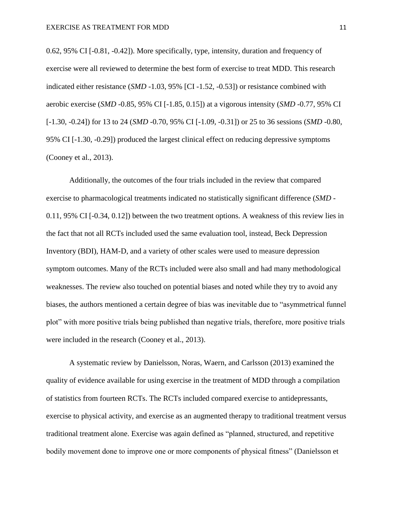0.62, 95% CI [-0.81, -0.42]). More specifically, type, intensity, duration and frequency of exercise were all reviewed to determine the best form of exercise to treat MDD. This research indicated either resistance (*SMD* -1.03, 95% [CI -1.52, -0.53]) or resistance combined with aerobic exercise (*SMD* -0.85, 95% CI [-1.85, 0.15]) at a vigorous intensity (*SMD* -0.77, 95% CI [-1.30, -0.24]) for 13 to 24 (*SMD* -0.70, 95% CI [-1.09, -0.31]) or 25 to 36 sessions (*SMD* -0.80, 95% CI [-1.30, -0.29]) produced the largest clinical effect on reducing depressive symptoms (Cooney et al., 2013).

Additionally, the outcomes of the four trials included in the review that compared exercise to pharmacological treatments indicated no statistically significant difference (*SMD* - 0.11, 95% CI [-0.34, 0.12]) between the two treatment options. A weakness of this review lies in the fact that not all RCTs included used the same evaluation tool, instead, Beck Depression Inventory (BDI), HAM-D, and a variety of other scales were used to measure depression symptom outcomes. Many of the RCTs included were also small and had many methodological weaknesses. The review also touched on potential biases and noted while they try to avoid any biases, the authors mentioned a certain degree of bias was inevitable due to "asymmetrical funnel plot" with more positive trials being published than negative trials, therefore, more positive trials were included in the research (Cooney et al., 2013).

A systematic review by Danielsson, Noras, Waern, and Carlsson (2013) examined the quality of evidence available for using exercise in the treatment of MDD through a compilation of statistics from fourteen RCTs. The RCTs included compared exercise to antidepressants, exercise to physical activity, and exercise as an augmented therapy to traditional treatment versus traditional treatment alone. Exercise was again defined as "planned, structured, and repetitive bodily movement done to improve one or more components of physical fitness" (Danielsson et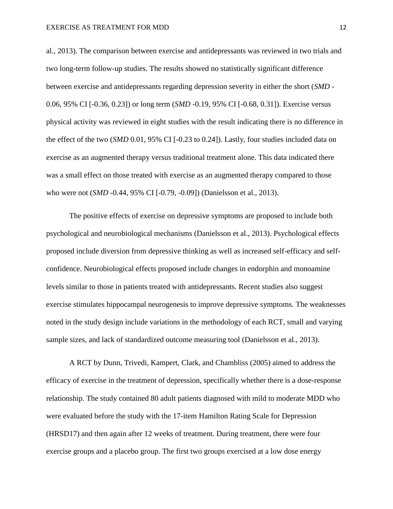al., 2013). The comparison between exercise and antidepressants was reviewed in two trials and two long-term follow-up studies. The results showed no statistically significant difference between exercise and antidepressants regarding depression severity in either the short (*SMD* - 0.06, 95% CI [-0.36, 0.23]) or long term (*SMD* -0.19, 95% CI [-0.68, 0.31]). Exercise versus physical activity was reviewed in eight studies with the result indicating there is no difference in the effect of the two (*SMD* 0.01, 95% CI [-0.23 to 0.24]). Lastly, four studies included data on exercise as an augmented therapy versus traditional treatment alone. This data indicated there was a small effect on those treated with exercise as an augmented therapy compared to those who were not (*SMD* -0.44, 95% CI [-0.79, -0.09]) (Danielsson et al., 2013).

The positive effects of exercise on depressive symptoms are proposed to include both psychological and neurobiological mechanisms (Danielsson et al., 2013). Psychological effects proposed include diversion from depressive thinking as well as increased self-efficacy and selfconfidence. Neurobiological effects proposed include changes in endorphin and monoamine levels similar to those in patients treated with antidepressants. Recent studies also suggest exercise stimulates hippocampal neurogenesis to improve depressive symptoms. The weaknesses noted in the study design include variations in the methodology of each RCT, small and varying sample sizes, and lack of standardized outcome measuring tool (Danielsson et al., 2013).

A RCT by Dunn, Trivedi, Kampert, Clark, and Chambliss (2005) aimed to address the efficacy of exercise in the treatment of depression, specifically whether there is a dose-response relationship. The study contained 80 adult patients diagnosed with mild to moderate MDD who were evaluated before the study with the 17-item Hamilton Rating Scale for Depression (HRSD17) and then again after 12 weeks of treatment. During treatment, there were four exercise groups and a placebo group. The first two groups exercised at a low dose energy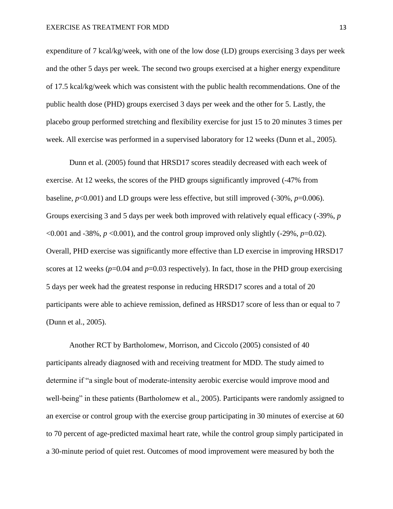expenditure of 7 kcal/kg/week, with one of the low dose (LD) groups exercising 3 days per week and the other 5 days per week. The second two groups exercised at a higher energy expenditure of 17.5 kcal/kg/week which was consistent with the public health recommendations. One of the public health dose (PHD) groups exercised 3 days per week and the other for 5. Lastly, the placebo group performed stretching and flexibility exercise for just 15 to 20 minutes 3 times per week. All exercise was performed in a supervised laboratory for 12 weeks (Dunn et al., 2005).

Dunn et al. (2005) found that HRSD17 scores steadily decreased with each week of exercise. At 12 weeks, the scores of the PHD groups significantly improved (-47% from baseline*, p*<0.001) and LD groups were less effective, but still improved (-30%, *p*=0.006). Groups exercising 3 and 5 days per week both improved with relatively equal efficacy (-39%, *p*   $\leq 0.001$  and -38%,  $p \leq 0.001$ ), and the control group improved only slightly (-29%,  $p=0.02$ ). Overall, PHD exercise was significantly more effective than LD exercise in improving HRSD17 scores at 12 weeks  $(p=0.04$  and  $p=0.03$  respectively). In fact, those in the PHD group exercising 5 days per week had the greatest response in reducing HRSD17 scores and a total of 20 participants were able to achieve remission, defined as HRSD17 score of less than or equal to 7 (Dunn et al., 2005).

Another RCT by Bartholomew, Morrison, and Ciccolo (2005) consisted of 40 participants already diagnosed with and receiving treatment for MDD. The study aimed to determine if "a single bout of moderate-intensity aerobic exercise would improve mood and well-being" in these patients (Bartholomew et al., 2005). Participants were randomly assigned to an exercise or control group with the exercise group participating in 30 minutes of exercise at 60 to 70 percent of age-predicted maximal heart rate, while the control group simply participated in a 30-minute period of quiet rest. Outcomes of mood improvement were measured by both the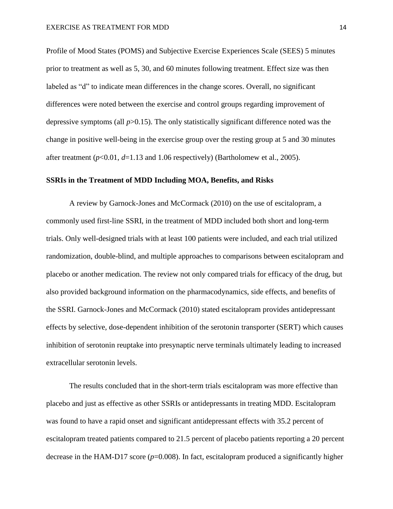Profile of Mood States (POMS) and Subjective Exercise Experiences Scale (SEES) 5 minutes prior to treatment as well as 5, 30, and 60 minutes following treatment. Effect size was then labeled as "d" to indicate mean differences in the change scores. Overall, no significant differences were noted between the exercise and control groups regarding improvement of depressive symptoms (all *p*>0.15). The only statistically significant difference noted was the change in positive well-being in the exercise group over the resting group at 5 and 30 minutes after treatment  $(p<0.01, d=1.13$  and 1.06 respectively) (Bartholomew et al., 2005).

# **SSRIs in the Treatment of MDD Including MOA, Benefits, and Risks**

A review by Garnock-Jones and McCormack (2010) on the use of escitalopram, a commonly used first-line SSRI, in the treatment of MDD included both short and long-term trials. Only well-designed trials with at least 100 patients were included, and each trial utilized randomization, double-blind, and multiple approaches to comparisons between escitalopram and placebo or another medication. The review not only compared trials for efficacy of the drug, but also provided background information on the pharmacodynamics, side effects, and benefits of the SSRI. Garnock-Jones and McCormack (2010) stated escitalopram provides antidepressant effects by selective, dose-dependent inhibition of the serotonin transporter (SERT) which causes inhibition of serotonin reuptake into presynaptic nerve terminals ultimately leading to increased extracellular serotonin levels.

The results concluded that in the short-term trials escitalopram was more effective than placebo and just as effective as other SSRIs or antidepressants in treating MDD. Escitalopram was found to have a rapid onset and significant antidepressant effects with 35.2 percent of escitalopram treated patients compared to 21.5 percent of placebo patients reporting a 20 percent decrease in the HAM-D17 score (*p*=0.008). In fact, escitalopram produced a significantly higher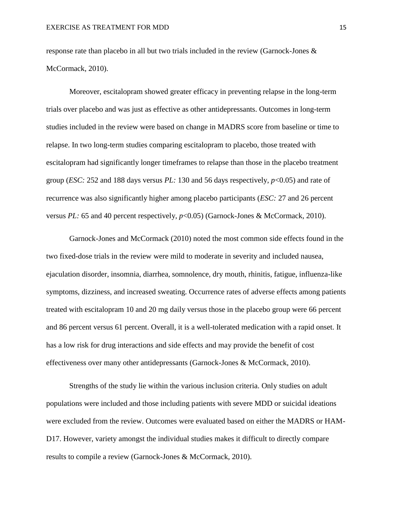response rate than placebo in all but two trials included in the review (Garnock-Jones & McCormack, 2010).

Moreover, escitalopram showed greater efficacy in preventing relapse in the long-term trials over placebo and was just as effective as other antidepressants. Outcomes in long-term studies included in the review were based on change in MADRS score from baseline or time to relapse. In two long-term studies comparing escitalopram to placebo, those treated with escitalopram had significantly longer timeframes to relapse than those in the placebo treatment group (*ESC:* 252 and 188 days versus *PL:* 130 and 56 days respectively, *p*<0.05) and rate of recurrence was also significantly higher among placebo participants (*ESC:* 27 and 26 percent versus *PL:* 65 and 40 percent respectively, *p*<0.05) (Garnock-Jones & McCormack, 2010).

Garnock-Jones and McCormack (2010) noted the most common side effects found in the two fixed-dose trials in the review were mild to moderate in severity and included nausea, ejaculation disorder, insomnia, diarrhea, somnolence, dry mouth, rhinitis, fatigue, influenza-like symptoms, dizziness, and increased sweating. Occurrence rates of adverse effects among patients treated with escitalopram 10 and 20 mg daily versus those in the placebo group were 66 percent and 86 percent versus 61 percent. Overall, it is a well-tolerated medication with a rapid onset. It has a low risk for drug interactions and side effects and may provide the benefit of cost effectiveness over many other antidepressants (Garnock-Jones & McCormack, 2010).

Strengths of the study lie within the various inclusion criteria. Only studies on adult populations were included and those including patients with severe MDD or suicidal ideations were excluded from the review. Outcomes were evaluated based on either the MADRS or HAM-D17. However, variety amongst the individual studies makes it difficult to directly compare results to compile a review (Garnock-Jones & McCormack, 2010).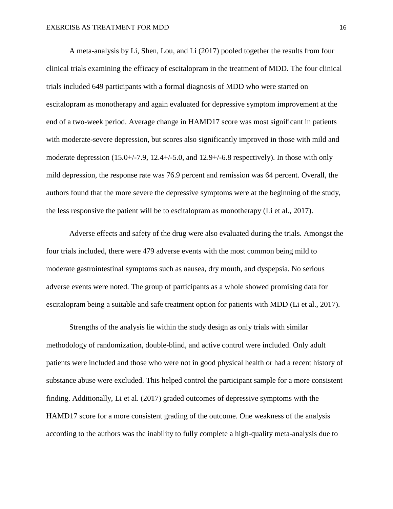A meta-analysis by Li, Shen, Lou, and Li (2017) pooled together the results from four clinical trials examining the efficacy of escitalopram in the treatment of MDD. The four clinical trials included 649 participants with a formal diagnosis of MDD who were started on escitalopram as monotherapy and again evaluated for depressive symptom improvement at the end of a two-week period. Average change in HAMD17 score was most significant in patients with moderate-severe depression, but scores also significantly improved in those with mild and moderate depression  $(15.0 + (-7.9, 12.4 + (-5.0, \text{and } 12.9 + (-6.8 \text{ respectively}))$ . In those with only mild depression, the response rate was 76.9 percent and remission was 64 percent. Overall, the authors found that the more severe the depressive symptoms were at the beginning of the study, the less responsive the patient will be to escitalopram as monotherapy (Li et al., 2017).

Adverse effects and safety of the drug were also evaluated during the trials. Amongst the four trials included, there were 479 adverse events with the most common being mild to moderate gastrointestinal symptoms such as nausea, dry mouth, and dyspepsia. No serious adverse events were noted. The group of participants as a whole showed promising data for escitalopram being a suitable and safe treatment option for patients with MDD (Li et al., 2017).

Strengths of the analysis lie within the study design as only trials with similar methodology of randomization, double-blind, and active control were included. Only adult patients were included and those who were not in good physical health or had a recent history of substance abuse were excluded. This helped control the participant sample for a more consistent finding. Additionally, Li et al. (2017) graded outcomes of depressive symptoms with the HAMD17 score for a more consistent grading of the outcome. One weakness of the analysis according to the authors was the inability to fully complete a high-quality meta-analysis due to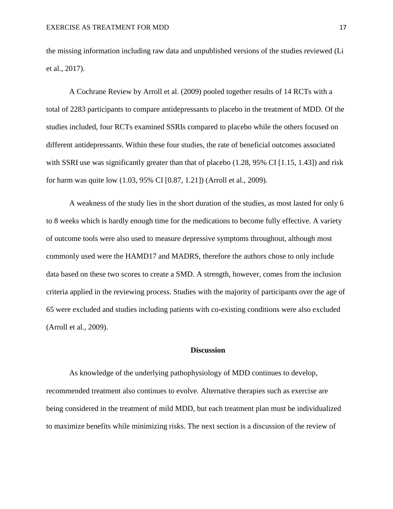the missing information including raw data and unpublished versions of the studies reviewed (Li et al., 2017).

A Cochrane Review by Arroll et al. (2009) pooled together results of 14 RCTs with a total of 2283 participants to compare antidepressants to placebo in the treatment of MDD. Of the studies included, four RCTs examined SSRIs compared to placebo while the others focused on different antidepressants. Within these four studies, the rate of beneficial outcomes associated with SSRI use was significantly greater than that of placebo (1.28, 95% CI [1.15, 1.43]) and risk for harm was quite low (1.03, 95% CI [0.87, 1.21]) (Arroll et al., 2009).

A weakness of the study lies in the short duration of the studies, as most lasted for only 6 to 8 weeks which is hardly enough time for the medications to become fully effective. A variety of outcome tools were also used to measure depressive symptoms throughout, although most commonly used were the HAMD17 and MADRS, therefore the authors chose to only include data based on these two scores to create a SMD. A strength, however, comes from the inclusion criteria applied in the reviewing process. Studies with the majority of participants over the age of 65 were excluded and studies including patients with co-existing conditions were also excluded (Arroll et al., 2009).

## **Discussion**

As knowledge of the underlying pathophysiology of MDD continues to develop, recommended treatment also continues to evolve. Alternative therapies such as exercise are being considered in the treatment of mild MDD, but each treatment plan must be individualized to maximize benefits while minimizing risks. The next section is a discussion of the review of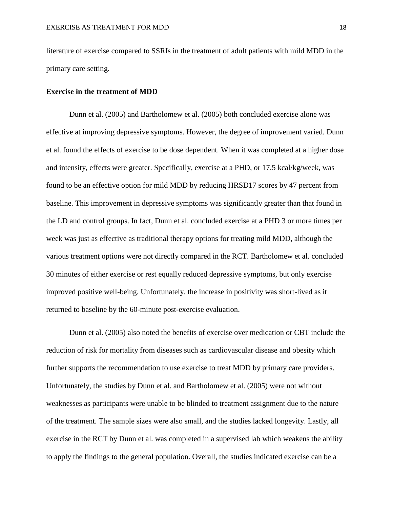literature of exercise compared to SSRIs in the treatment of adult patients with mild MDD in the primary care setting.

#### **Exercise in the treatment of MDD**

Dunn et al. (2005) and Bartholomew et al. (2005) both concluded exercise alone was effective at improving depressive symptoms. However, the degree of improvement varied. Dunn et al. found the effects of exercise to be dose dependent. When it was completed at a higher dose and intensity, effects were greater. Specifically, exercise at a PHD, or 17.5 kcal/kg/week, was found to be an effective option for mild MDD by reducing HRSD17 scores by 47 percent from baseline. This improvement in depressive symptoms was significantly greater than that found in the LD and control groups. In fact, Dunn et al. concluded exercise at a PHD 3 or more times per week was just as effective as traditional therapy options for treating mild MDD, although the various treatment options were not directly compared in the RCT. Bartholomew et al. concluded 30 minutes of either exercise or rest equally reduced depressive symptoms, but only exercise improved positive well-being. Unfortunately, the increase in positivity was short-lived as it returned to baseline by the 60-minute post-exercise evaluation.

Dunn et al. (2005) also noted the benefits of exercise over medication or CBT include the reduction of risk for mortality from diseases such as cardiovascular disease and obesity which further supports the recommendation to use exercise to treat MDD by primary care providers. Unfortunately, the studies by Dunn et al. and Bartholomew et al. (2005) were not without weaknesses as participants were unable to be blinded to treatment assignment due to the nature of the treatment. The sample sizes were also small, and the studies lacked longevity. Lastly, all exercise in the RCT by Dunn et al. was completed in a supervised lab which weakens the ability to apply the findings to the general population. Overall, the studies indicated exercise can be a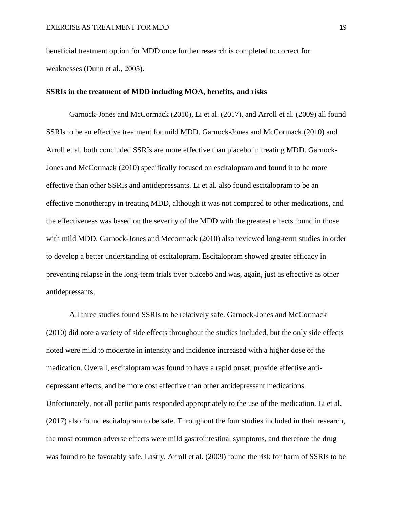beneficial treatment option for MDD once further research is completed to correct for weaknesses (Dunn et al., 2005).

#### **SSRIs in the treatment of MDD including MOA, benefits, and risks**

Garnock-Jones and McCormack (2010), Li et al. (2017), and Arroll et al. (2009) all found SSRIs to be an effective treatment for mild MDD. Garnock-Jones and McCormack (2010) and Arroll et al. both concluded SSRIs are more effective than placebo in treating MDD. Garnock-Jones and McCormack (2010) specifically focused on escitalopram and found it to be more effective than other SSRIs and antidepressants. Li et al. also found escitalopram to be an effective monotherapy in treating MDD, although it was not compared to other medications, and the effectiveness was based on the severity of the MDD with the greatest effects found in those with mild MDD. Garnock-Jones and Mccormack (2010) also reviewed long-term studies in order to develop a better understanding of escitalopram. Escitalopram showed greater efficacy in preventing relapse in the long-term trials over placebo and was, again, just as effective as other antidepressants.

All three studies found SSRIs to be relatively safe. Garnock-Jones and McCormack (2010) did note a variety of side effects throughout the studies included, but the only side effects noted were mild to moderate in intensity and incidence increased with a higher dose of the medication. Overall, escitalopram was found to have a rapid onset, provide effective antidepressant effects, and be more cost effective than other antidepressant medications. Unfortunately, not all participants responded appropriately to the use of the medication. Li et al. (2017) also found escitalopram to be safe. Throughout the four studies included in their research, the most common adverse effects were mild gastrointestinal symptoms, and therefore the drug was found to be favorably safe. Lastly, Arroll et al. (2009) found the risk for harm of SSRIs to be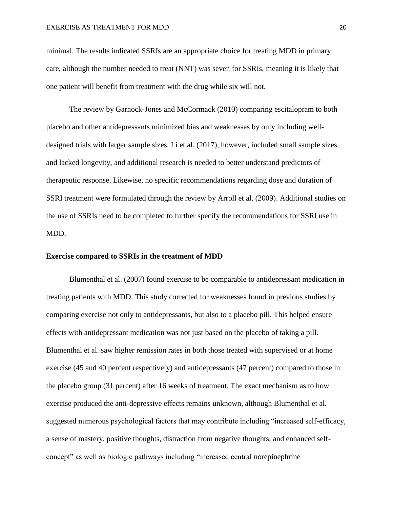minimal. The results indicated SSRIs are an appropriate choice for treating MDD in primary care, although the number needed to treat (NNT) was seven for SSRIs, meaning it is likely that one patient will benefit from treatment with the drug while six will not.

The review by Garnock-Jones and McCormack (2010) comparing escitalopram to both placebo and other antidepressants minimized bias and weaknesses by only including welldesigned trials with larger sample sizes. Li et al. (2017), however, included small sample sizes and lacked longevity, and additional research is needed to better understand predictors of therapeutic response. Likewise, no specific recommendations regarding dose and duration of SSRI treatment were formulated through the review by Arroll et al. (2009). Additional studies on the use of SSRIs need to be completed to further specify the recommendations for SSRI use in MDD.

#### **Exercise compared to SSRIs in the treatment of MDD**

Blumenthal et al. (2007) found exercise to be comparable to antidepressant medication in treating patients with MDD. This study corrected for weaknesses found in previous studies by comparing exercise not only to antidepressants, but also to a placebo pill. This helped ensure effects with antidepressant medication was not just based on the placebo of taking a pill. Blumenthal et al. saw higher remission rates in both those treated with supervised or at home exercise (45 and 40 percent respectively) and antidepressants (47 percent) compared to those in the placebo group (31 percent) after 16 weeks of treatment. The exact mechanism as to how exercise produced the anti-depressive effects remains unknown, although Blumenthal et al. suggested numerous psychological factors that may contribute including "increased self-efficacy, a sense of mastery, positive thoughts, distraction from negative thoughts, and enhanced selfconcept" as well as biologic pathways including "increased central norepinephrine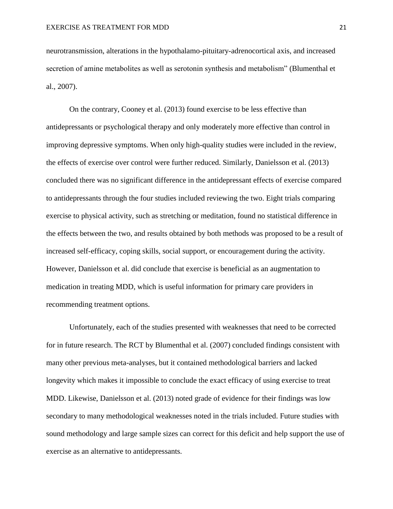neurotransmission, alterations in the hypothalamo-pituitary-adrenocortical axis, and increased secretion of amine metabolites as well as serotonin synthesis and metabolism" (Blumenthal et al., 2007).

On the contrary, Cooney et al. (2013) found exercise to be less effective than antidepressants or psychological therapy and only moderately more effective than control in improving depressive symptoms. When only high-quality studies were included in the review, the effects of exercise over control were further reduced. Similarly, Danielsson et al. (2013) concluded there was no significant difference in the antidepressant effects of exercise compared to antidepressants through the four studies included reviewing the two. Eight trials comparing exercise to physical activity, such as stretching or meditation, found no statistical difference in the effects between the two, and results obtained by both methods was proposed to be a result of increased self-efficacy, coping skills, social support, or encouragement during the activity. However, Danielsson et al. did conclude that exercise is beneficial as an augmentation to medication in treating MDD, which is useful information for primary care providers in recommending treatment options.

Unfortunately, each of the studies presented with weaknesses that need to be corrected for in future research. The RCT by Blumenthal et al. (2007) concluded findings consistent with many other previous meta-analyses, but it contained methodological barriers and lacked longevity which makes it impossible to conclude the exact efficacy of using exercise to treat MDD. Likewise, Danielsson et al. (2013) noted grade of evidence for their findings was low secondary to many methodological weaknesses noted in the trials included. Future studies with sound methodology and large sample sizes can correct for this deficit and help support the use of exercise as an alternative to antidepressants.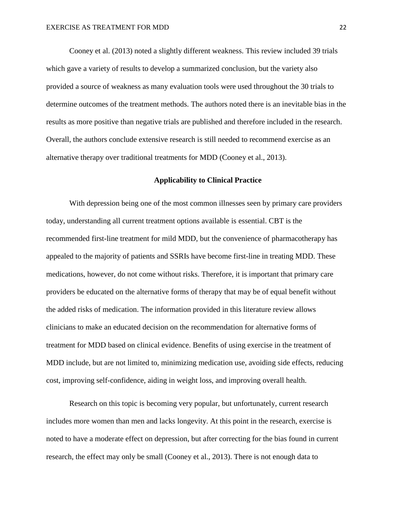Cooney et al. (2013) noted a slightly different weakness. This review included 39 trials which gave a variety of results to develop a summarized conclusion, but the variety also provided a source of weakness as many evaluation tools were used throughout the 30 trials to determine outcomes of the treatment methods. The authors noted there is an inevitable bias in the results as more positive than negative trials are published and therefore included in the research. Overall, the authors conclude extensive research is still needed to recommend exercise as an alternative therapy over traditional treatments for MDD (Cooney et al., 2013).

# **Applicability to Clinical Practice**

With depression being one of the most common illnesses seen by primary care providers today, understanding all current treatment options available is essential. CBT is the recommended first-line treatment for mild MDD, but the convenience of pharmacotherapy has appealed to the majority of patients and SSRIs have become first-line in treating MDD. These medications, however, do not come without risks. Therefore, it is important that primary care providers be educated on the alternative forms of therapy that may be of equal benefit without the added risks of medication. The information provided in this literature review allows clinicians to make an educated decision on the recommendation for alternative forms of treatment for MDD based on clinical evidence. Benefits of using exercise in the treatment of MDD include, but are not limited to, minimizing medication use, avoiding side effects, reducing cost, improving self-confidence, aiding in weight loss, and improving overall health.

Research on this topic is becoming very popular, but unfortunately, current research includes more women than men and lacks longevity. At this point in the research, exercise is noted to have a moderate effect on depression, but after correcting for the bias found in current research, the effect may only be small (Cooney et al., 2013). There is not enough data to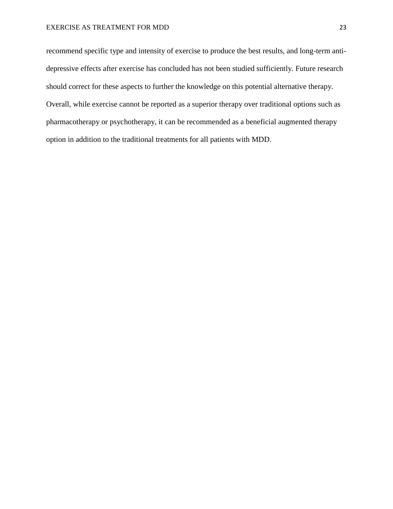recommend specific type and intensity of exercise to produce the best results, and long-term antidepressive effects after exercise has concluded has not been studied sufficiently. Future research should correct for these aspects to further the knowledge on this potential alternative therapy. Overall, while exercise cannot be reported as a superior therapy over traditional options such as pharmacotherapy or psychotherapy, it can be recommended as a beneficial augmented therapy option in addition to the traditional treatments for all patients with MDD.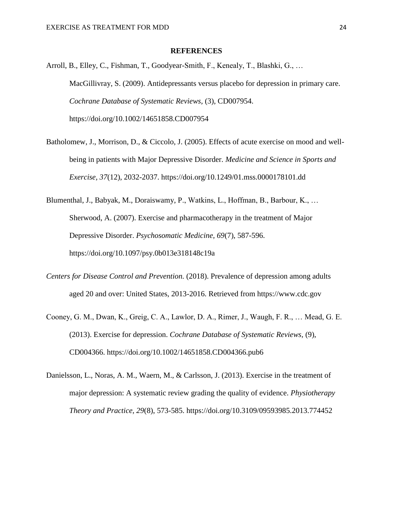#### **REFERENCES**

- Arroll, B., Elley, C., Fishman, T., Goodyear-Smith, F., Kenealy, T., Blashki, G., … MacGillivray, S. (2009). Antidepressants versus placebo for depression in primary care. *Cochrane Database of Systematic Reviews,* (3), CD007954. https://doi.org/10.1002/14651858.CD007954
- Batholomew, J., Morrison, D., & Ciccolo, J. (2005). Effects of acute exercise on mood and wellbeing in patients with Major Depressive Disorder. *Medicine and Science in Sports and Exercise, 37*(12), 2032-2037. https://doi.org/10.1249/01.mss.0000178101.dd
- Blumenthal, J., Babyak, M., Doraiswamy, P., Watkins, L., Hoffman, B., Barbour, K., … Sherwood, A. (2007). Exercise and pharmacotherapy in the treatment of Major Depressive Disorder. *Psychosomatic Medicine, 69*(7), 587-596. https://doi.org/10.1097/psy.0b013e318148c19a
- *Centers for Disease Control and Prevention.* (2018). Prevalence of depression among adults aged 20 and over: United States, 2013-2016. Retrieved from https://www.cdc.gov
- Cooney, G. M., Dwan, K., Greig, C. A., Lawlor, D. A., Rimer, J., Waugh, F. R., … Mead, G. E. (2013). Exercise for depression. *Cochrane Database of Systematic Reviews,* (9), CD004366. https://doi.org/10.1002/14651858.CD004366.pub6
- Danielsson, L., Noras, A. M., Waern, M., & Carlsson, J. (2013). Exercise in the treatment of major depression: A systematic review grading the quality of evidence. *Physiotherapy Theory and Practice, 29*(8), 573-585. https://doi.org/10.3109/09593985.2013.774452